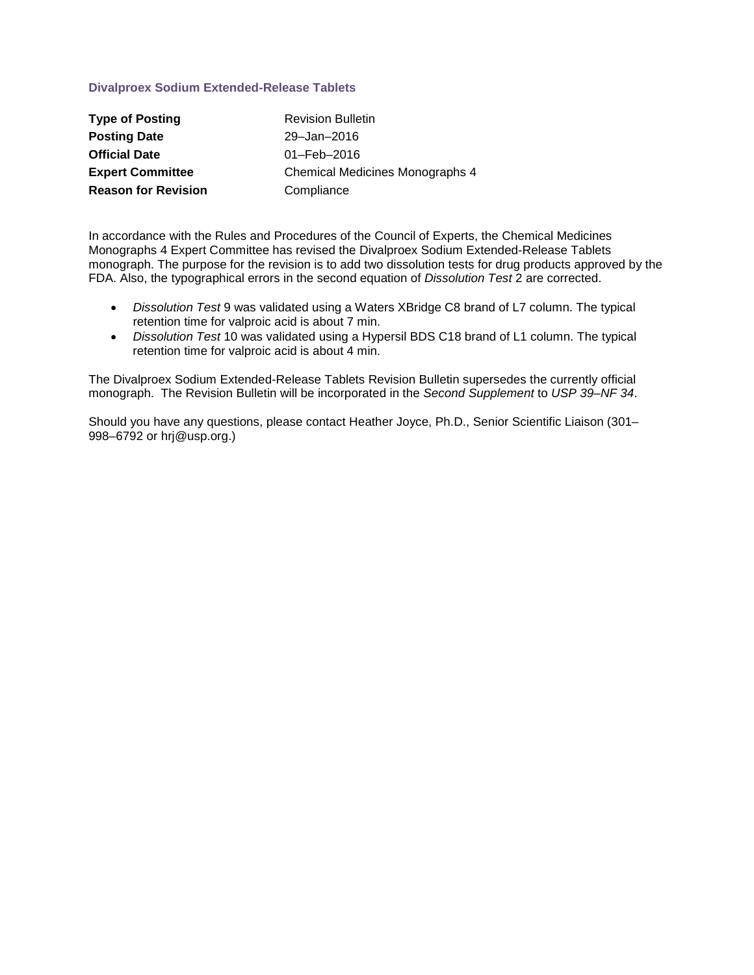## **Divalproex Sodium Extended-Release Tablets**

| <b>Type of Posting</b>     | <b>Revision Bulletin</b>        |
|----------------------------|---------------------------------|
| <b>Posting Date</b>        | 29-Jan-2016                     |
| <b>Official Date</b>       | $01 - \text{Feb} - 2016$        |
| <b>Expert Committee</b>    | Chemical Medicines Monographs 4 |
| <b>Reason for Revision</b> | Compliance                      |

In accordance with the Rules and Procedures of the Council of Experts, the Chemical Medicines Monographs 4 Expert Committee has revised the Divalproex Sodium Extended-Release Tablets monograph. The purpose for the revision is to add two dissolution tests for drug products approved by the FDA. Also, the typographical errors in the second equation of *Dissolution Test* 2 are corrected.

- *Dissolution Test* 9 was validated using a Waters XBridge C8 brand of L7 column. The typical retention time for valproic acid is about 7 min.
- *Dissolution Test* 10 was validated using a Hypersil BDS C18 brand of L1 column. The typical retention time for valproic acid is about 4 min.

The Divalproex Sodium Extended-Release Tablets Revision Bulletin supersedes the currently official monograph. The Revision Bulletin will be incorporated in the *Second Supplement* to *USP 39–NF 34*.

Should you have any questions, please contact Heather Joyce, Ph.D., Senior Scientific Liaison (301– 998–6792 or hrj@usp.org.)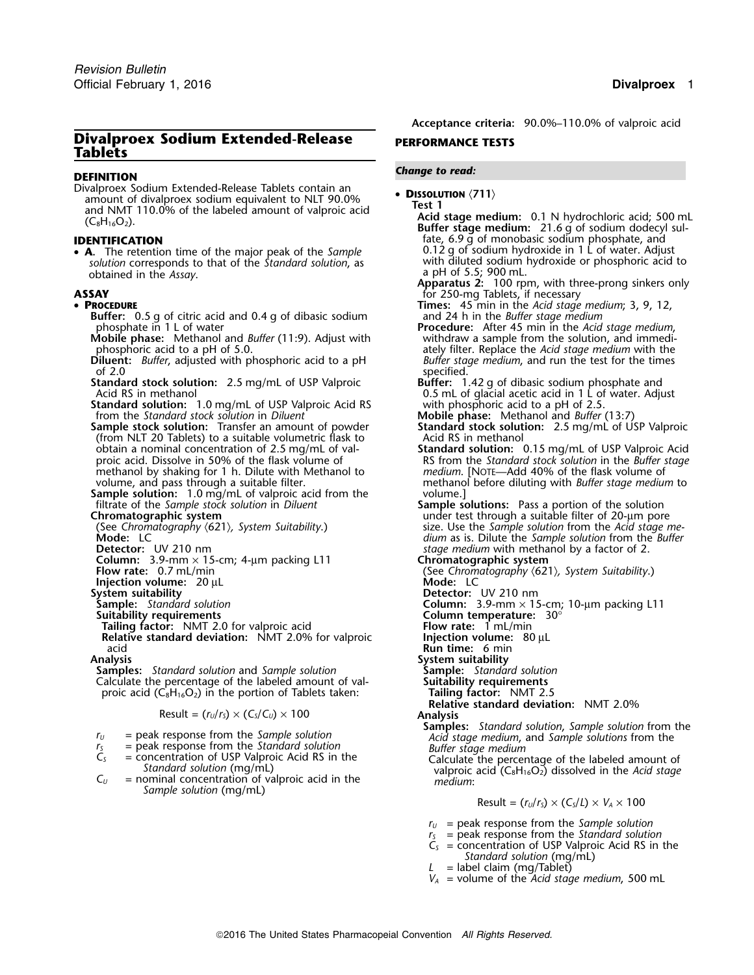## **Divalproex Sodium Extended-Release** PERFORMANCE TESTS **Tablets**

Divalproex Sodium Extended-Release Tablets contain an • **DISSOLUTION** (711)

• **<sup>A</sup>** 0.12 g of sodium hydroxide in 1 L of water. Adjust **.** The retention time of the major peak of the *Sample solution* corresponds to that of the *Standard solution*, as with diluted sodium hydroxide or phosphoric acid to obtained in the *Assay*.

### •

- **Buffer:** 0.5 g of citric acid and 0.4 g of dibasic sodium phosphate in 1 L of water
- **Mobile phase:** Methanol and *Buffer* (11:9). Adjust with phosphoric acid to a pH of 5.0.
- **Diluent:** *Buffer*, adjusted with phosphoric acid to a pH
- **Standard stock solution:** 2.5 mg/mL of USP Valproic
- from the *Standard stock solution* in *Diluent* **Mobile phase:** Methanol and *Buffer* (13:7)
- **Sample stock solution:** Transfer an amount of powder **Standard stock solution:** 2.5 mg/mL of USP Valproic (from NLT 20 Tablets) to a suitable volumetric flask to Acid RS in methanol obtain a nominal concentration of 2.5 mg/mL of val- **Standard solution:** 0.15 mg/mL of USP Valproic Acid methanol by shaking for 1 h. Dilute with Methanol to *volume*, and pass through a suitable filter.
- **Sample solution:** 1.0 mg/mL of valproic acid from the filtrate of the Sample stock solution in Diluent
- 
- 
- 
- 
- **Column:** 3.9-mm × 15-cm; 4-µm packing L11 **Flow rate:** 0.7 mL/min
- 
- **Injection volume:** 20 µL **System suitability**

- 
- **Relative standard deviation:** NMT 2.0% for valproic acid

**Analysis System suitability Samples:** *Standard solution* and *Sample solution* **Sample:** *Standard solution* Calculate the percentage of the labeled amount of val-<br>proic acid  $(C_8H_{16}O_2)$  in the portion of Tablets taken: **Tailing factor:** NMT 2.5 proic acid  $(C_8H_{16}O_2)$  in the portion of Tablets taken:

$$
Result = (rU/rS) \times (CS/CU) \times 100
$$
 **Analysis**

- 
- 
- 
- *Sample solution* (mg/mL)

*.* **Acceptance criteria:** 90.0%–110.0% of valproic acid

# *Change to read:* **DEFINITION**

amount of divalproex sodium equivalent to NLT 90.0%<br>and NMT 110.0% of the labeled amount of valproic acid<br>(C<sub>8</sub>H<sub>16</sub>O<sub>2</sub>). **Acid stage medium:** 0.1 N hydrochloric acid; 500 mL<br>**Buffer stage medium:** 21.6 g of sodium dodec **IDENTIFICATION**<br>• **A**. The retention time of the maior peak of the *Sample* **Consument Consument of Sample A.** The retention time of the maior peak of the *Sample* **Consument Consument Consument Consument Consument Cons** a pH of 5.5; 900 mL.<br>**Apparatus 2:** 100 rpm, with three-prong sinkers only **ASSAY example 25 of the COVID-MENT CONSUMING THE COVID-MENT CONSUMING THE CONSUMING STATE OF PROCEDURE 45 min in the Acid stage Fimes:** 45 min in the *Acid stage medium*; 3, 9, 12, and 24 h in the *Buffer stage medium* **Procedure:** After 45 min in the *Acid stage medium*, withdraw a sample from the solution, and immediately filter. Replace the *Acid stage medium* with the *Buffer stage medium*, and run the test for the times of 2.0<br>
of 2.0 specified.<br> **Suffer:** 1.42 g of dibasic sodium phosphate and it and a reach that USP Valproic Acid RS in methanol<br> **Acid RS** in methanol **1.0** mg/mL of USP Valproic Acid RS with phosphoric acid to a pH of 2.5. **Standard solution:** 1.0 mg/mL of USP Valproic Acid RS with phosphoric acid to a pH of 2.5.<br>
from the Standard stock solution: Transfer an amount of powder **Standard stock solution:** 2.5 mg/mL of USP Valproic<br> **Sample stoc** RS from the *Standard stock solution* in the *Buffer stage medium*. [NOTE—Add 40% of the flask volume of methanol before diluting with *Buffer stage medium* to volume.] filtrate of the *Sample stock solution* in *Diluent* **Sample solutions:** Pass a portion of the solution Chromatographic system<br>
(See Chromatography (621), System Suitability.) The size use the Sample solution from the Acid stage not<br>
Mode: LC and the Bution from the Bution from the Bution from the Bution from the Bution from size. Use the Sample solution from the Acid stage me-**Mode:** LC *dium* as is. Dilute the *Sample solution* from the *Buffer stage medium* with methanol by a factor of 2.<br>**Chromatographic system** (See Chromatography *(621), System Suitability.)*<br>**Mode:** LC **System suitability Detector:** UV 210 nm **Sample:** *Standard solution* **Column:** 3.9-mm × 15-cm; 10-µm packing L11 **Suitability requirements Column temperature:** 30° **Tailing factor:** NMT 2.0 for valproic acid<br>**Tailing factor:** NMT 2.0 for valproic acid **Flow rate:** 1 mL/min **Flow rate:** 1 mL/min **Flow rate:** 1 mL/min **Relative standard deviation:** NMT 2.0% for valproic **Flow rate:** 1 **Run time:** 6 min **Relative standard deviation:** NMT 2.0% **Samples:** *Standard solution*, *Sample solution* from the *r*<sub>*U*</sub> = peak response from the *Sample solution Acid stage medium*, and *Sample solutions* from the *r*<sub>*s*</sub> = peak response from the *Standard solution Buffer stage medium*  $C_5$  = concentration of USP Valproic Acid RS in the<br>
Standard solution (mg/mL)<br>  $C_U$  = nominal concentration of valproic acid in the<br>  $C_U$  = nominal concentration of valproic acid in the<br>  $C_U$  = nominal concentration of

$$
Result = (r_U/r_S) \times (C_S/L) \times V_A \times 100
$$

*<sup>r</sup><sup>U</sup>* = peak response from the *Sample solution*

- *<sup>r</sup><sup>S</sup>* = peak response from the *Standard solution*
- $C<sub>S</sub>$  = concentration of USP Valproic Acid RS in the *Standard solution* (mg/mL)
- *L* = label claim (mg/Tablet)
- *V<sup>A</sup>* = volume of the *Acid stage medium*, 500 mL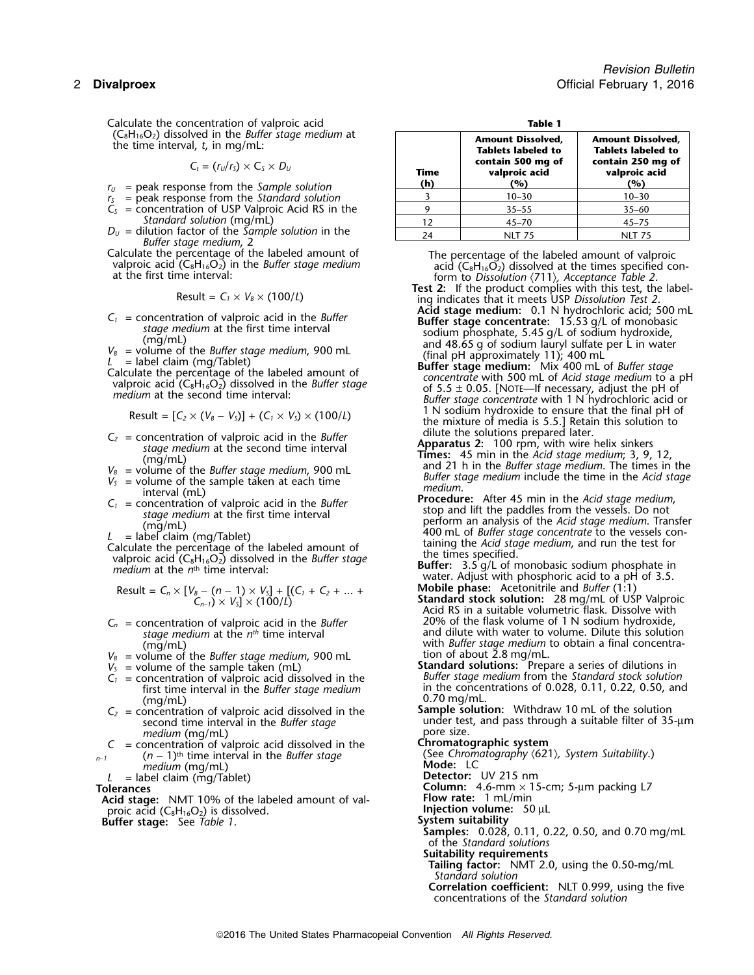Calculate the concentration of valproic acid  $(C_8H_{16}O_2)$  dissolved in the *Buffer* stage medium at the time interval, *t*, in mg/mL:

$$
C_t = (r_U/r_S) \times C_S \times D_U
$$

- $r_U$  = peak response from the *Sample solution*
- $r<sub>s</sub>$  = peak response from the *Standard solution*  $C<sub>S</sub>$  = concentration of USP Valproic Acid RS in the
- 
- $D_U$  = dilution factor of the *Sample solution* in the  $\nonumber$  24 NLT 75 NLT 75 NLT 75
- 

$$
Result = C_1 \times V_B \times (100/L)
$$

- 
- 
- 

Result = 
$$
[C_2 \times (V_B - V_S)] + (C_1 \times V_S) \times (100/L)
$$

- 
- 
- 
- 
- 
- 

Result = 
$$
C_n \times [V_B - (n-1) \times V_5] + [(C_1 + C_2 + ... + C_{n-1}) \times V_5] \times (100/L)
$$

- 
- $V_B$  = volume of the *Buffer stage medium*, 900 mL<br> $V_S$  = volume of the sample taken (mL)
- 
- 
- $C_2$  = concentration of valproic acid dissolved in the second time interval in the *Buffer stage*
- *medium* (mg/mL)<br>oncentration of valproic acid dissolved in the **Chromatographic system** *C* = concentration of valproic acid dissolved in the  $(n - 1)^{th}$  time interval in the *Buffer stage* 
	- medium (mg/mL)<br>http://www.magazi.com/magazine.com/magazine.com/magazine.com/magazine.com/magazine.com/magazine.com/magazine.co<br>Detector: UV 215 nm
- *L* = label claim (mg/Tablet)<br>**Tolerances**

**Acid stage:** NMT 10% of the labeled amount of val- **Flow rate:**<sup>1</sup> mL/min proic acid (C<sub>8</sub>H<sub>16</sub>O<sub>2</sub>) is dissolved. **Injection volume:** 50 μL **Buffer stage:** See *Table 1*. **System suitability**

| $O_2$ ) dissolved in the <i>Buffer stage medium</i> at<br>ne interval, t, in mg/mL:      |             | <b>Amount Dissolved,</b><br><b>Tablets labeled to</b><br>contain 500 mg of | <b>Amount Dissolved,</b><br><b>Tablets labeled to</b><br>contain 250 mg of |  |
|------------------------------------------------------------------------------------------|-------------|----------------------------------------------------------------------------|----------------------------------------------------------------------------|--|
| $C_t = (r_U/r_S) \times C_S \times D_U$<br>eak response from the S <i>ample solution</i> | Time<br>(h) | valproic acid<br>(%)                                                       | valproic acid<br>(%)                                                       |  |
| eak response from the Standard solution                                                  |             | $10 - 30$                                                                  | $10 - 30$                                                                  |  |
| oncentration of USP Valproic Acid RS in the                                              |             | $35 - 55$                                                                  | $35 - 60$                                                                  |  |
| Standard solution (mg/mL)                                                                | 12          | $45 - 70$                                                                  | $45 - 75$                                                                  |  |
| ilution factor of the <i>Sample solution</i> in the                                      | 24          | <b>NLT 75</b>                                                              | <b>NLT 75</b>                                                              |  |

Calculate the percentage of the labeled amount of valproic valproic acid ( $C_8H_{16}O_2$ ) in the *Buffer stage medium*<br>at the first time interval:<br>at the first time interval:<br>at the first time interval:<br> $\begin{array}{ccc}\n\text{The percentage of the labeled amount of$ 

- Ing indicates that it meets USP Dissolution Test 2.<br>**Acid stage medium:** 0.1 N hydrochloric acid; 500 mL  $V_B$  = concentration of valproic acid in the *Buffer*<br>
stage medium at the first time interval<br>
(mg/mL)<br>  $V_B$  = volume of the *Buffer* stage medium, 900 mL<br>  $L$  = label claim (mg/Tablet)<br>
Calculate the percentage of the l
	- 1 N sodium hydroxide to ensure that the final pH of<br>the mixture of media is 5.5.] Retain this solution to<br>dilute the solutions prepared later.
	-
- $C_2$  = concentration of valproic acid in the *Buffer*<br>
stage medium at the second time interval<br>
(mg/mL)<br>  $V_8$  = volume of the *Buffer* stage medium, 900 mL<br>  $V_5$  = volume of the sample taken at each time<br>  $C_1$  = conc
- stage medium at the first time interval<br>
(mg/mL)<br>  $L =$ label claim (mg/Tablet)<br>
Calculate the percentage of the labeled amount of<br>
valproic acid (C<sub>8</sub>H<sub>16</sub>O<sub>2</sub>) dissolved in the *Buffer* stage<br>
medium at the *n*<sup>th</sup> time i
	- **Buffer:** 3.5 g/L of monobasic sodium phosphate in water. Adjust with phosphoric acid to a pH of 3.5. *C* **Mobile phase:** Acetonitrile and *Buffer* (1:1)
- **Standard stock solution:** 28 mg/mL of USP Valproic *Acid RS* in a suitable volumetric flask. Dissolve with *C<sub>n</sub>* = concentration of valproic acid in the *Buffer* 20% of the flask volume of 1 N sodium hydroxide, *stage medium* at the *n<sup>th</sup>* time interval and dilute with water to volume. Dilute this solutio and dilute with water to volume. Dilute this solution (mg/mL)<br>
(mg/mL) with *Buffer stage medium* to obtain a final concentra-<br>
olume of the *Buffer stage medium*, 900 mL tion of about 2.8 mg/mL.
- $V_s$  = volume of the sample taken (mL) **Standard solutions:** Prepare a series of dilutions in **Standard solutions** Standard solutions in *C<sub>I</sub>* = concentration of valproic acid dissolved in the **Standard standard stock so** *C*<br> *C C*<sub>1</sub> = concentration of valproic acid dissolved in the *Buffer stage medium* from the *Standard stock solution*<br> *C in the concentrations of 0.028, 0.11, 0.22, 0.50, and*<br> *Concentrations of 0.028, 0.11, 0.22,* in the concentrations of 0.028, 0.11, 0.22, 0.50, and (mg/mL)<br>oncentration of valproic acid dissolved in the **Sample solution:** Withdraw 10 mL of the solution
	- under test, and pass through a suitable filter of 35-μm pore size.

(See *Chromatography* 〈621〉*, System Suitability*.) *<sup>n</sup>*−*<sup>1</sup>* (*<sup>n</sup>* <sup>−</sup> 1)th. time interval in the *Buffer stage*

**Column:** 4.6-mm × 15-cm; 5-µm packing L7<br>**Flow rate:** 1 mL/min

- 
- 
- 
- **Samples:** 0.028, 0.11, 0.22, 0.50, and 0.70 mg/mL of the *Standard solutions*
- **Suitability requirements**
- **Tailing factor:** NMT 2.0, using the 0.50-mg/mL *Standard solution* **Correlation coefficient:** NLT 0.999, using the five

concentrations of the *Standard solution*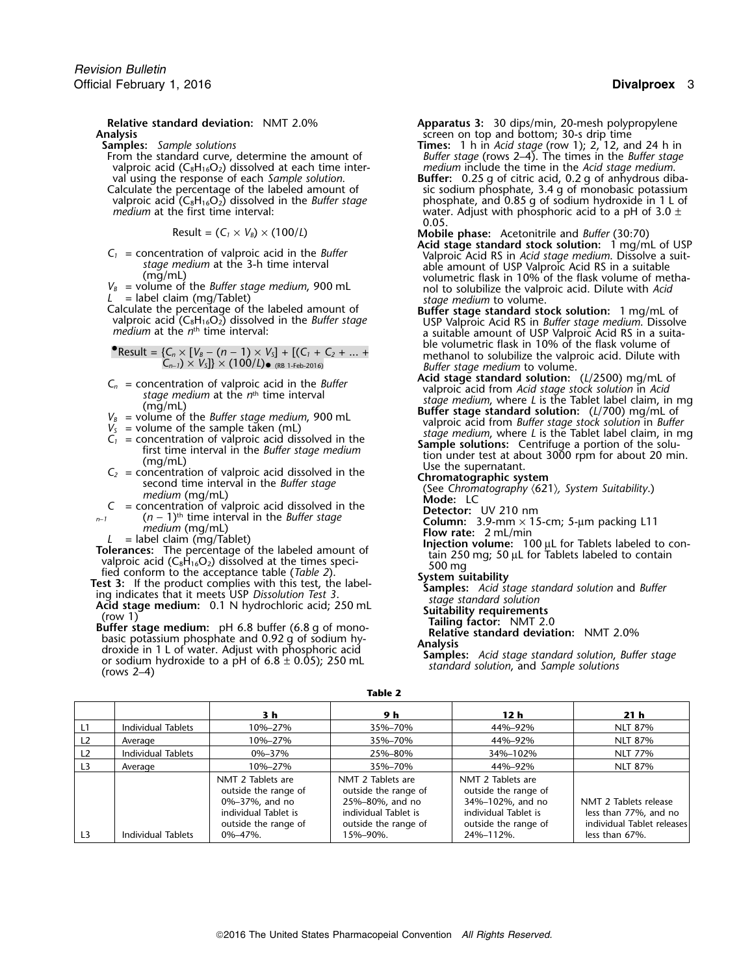**Analysis**<br> **Analysis** screen on top and bottom; 30-s drip time<br> **Analysis** screen on top and bottom; 30-s drip times: 1 h in Acid stage (row 1); 2, 12, and

rom the standard curve, determine the amount of *Buffer stage* (rows 2–4). The times in the *Buffer stage* valproic acid (C<sub>8</sub>H<sub>16</sub>O<sub>2</sub>) dissolved at each time inter-<br>valproic acid (C<sub>8</sub>H<sub>16</sub>O<sub>2</sub>) dissolved at each time in valproic acid (C<sub>8</sub>H<sub>16</sub>O<sub>2</sub>) dissolved at each time inter-<br>val using the response of each *Sample solution*. **Buffer:** 0.25 g of citric acid, 0.2 g of anhydrous dik

$$
Result = (C_1 \times V_B) \times (100/L)
$$

Calculate the percentage of the labeled amount of **Buffer stage standard stock solution:** 1 mg/mL of

• Result = {
$$
C_n \times [V_B - (n-1) \times V_S]
$$
 + [( $C_1 + C_2 + ... + C_{n-1}$ ) ×  $V_S$ ]} × (100/L) • (RB 1-Feb-2016)

- 
- 
- 
- 
- 
- -
- 
- 
- 
- $(6 1)^{th}$  limiterval in the *Buffer* stage<br>  $L = \text{label}$  medium (mg/Tablet)<br>  $L = \text{label}$  column: 3.9-mm × 15-cm; 5-µm packing L11<br>  $L = \text{label}$  column: 3.9-mm × 15-cm; 5-µm packing L11<br>
Tolerances: The percentage of the labeled
- **Relative standard deviation:** NMT 2.0% **Apparatus 3:** 30 dips/min, 20-mesh polypropylene<br>screen on top and bottom; 30-s drip time
	- **Samples:** *Sample solutions*<br>**From the standard curve, determine the amount of** *Buffer stage* **(rows 2–4). The times in the** *Buffer stage***<br>***Buffer stage* **(rows 2–4). The times in the** *Buffer stage*
	- val using the response of each *Sample solution*. **Buffer:** 0.25 g of citric acid, 0.2 g of anhydrous diba-Calculate the percentage of the labeled amount of sic sodium phosphate, 3.4 g of monobasic potassium<br>
	valproic acid (C<sub>8</sub>H<sub>16</sub>O<sub>2</sub>) dissolved in the *Buffer stage* phosphate, and 0.85 g of sodium hydroxide in 1 L of valproic acid (C<sub>8</sub>H<sub>16</sub>O<sub>2</sub>) dissolved in the *Buffer stage* phosphate, and 0.85 g of sodium hydroxide in 1 L of  $m$ edium at the first time interval:  $m$ edium at the first time interval: *water.* Adjust with phosphoric acid to a pH of 3.0 ± 0.05.

- Mobile phase: Acetonitrile and *Buffer* (30:70)<br>Acid stage standard stock solution: 1 mg/mL of USP  $A<sub>1</sub>$  = concentration of valproic acid in the *Buffer*<br>stage medium at the 3-h time interval<br>able amount of USP Valproic Acid RS in a suitable *stage medium* at the 3-h time interval able amount of USP Valproic Acid RS in a suitable<br>(mg/mL) volumetric flask in 10% of the flask volume of metha-<br>wolumetric flask in 10% of the flask volume of the *Buffer stage mediu v*alume of the *Buffer stage medium*, 900 mL nol to solubilize the valproic acid. Dilute with *Acid*  $\frac{1}{2}$  = label claim (mg/Tablet)
- valproic acid  $(C_8H_{16}O_2)$  dissolved in the *Buffer stage* and the surface of Naproic Acid RS in *Buffer stage medium*. Dissolve a suita-<br>A suitable amount of USP Valproic Acid RS in a suitaa suitable amount of USP Valproic Acid RS in a suitable volumetric flask in 10% of the flask volume of •methanol to solubilize the valproic acid. Dilute with
- Buffer stage medium to volume.<br>**Acid stage standard solution:** (L/2500) mg/mL of  $C_n$  = concentration of valproic acid in the *Buffer*<br>
stage medium at the *n*<sup>th</sup> time interval<br>  $C_1$  = concentration of valproic acid from Acid stage standard solution: (*L*/2500) mg/mL of<br>
stage medium, in Acid stage
	-
	-
	-
	-
	-
	-
	-
	-
	-
	-
	-
	-
	-

**Table 2**

|                 |                           | 3 h                                                                                                                           | 9 h                                                                                                                      | 12 <sub>h</sub>                                                                                                            | 21 <sub>h</sub>                                                                                |
|-----------------|---------------------------|-------------------------------------------------------------------------------------------------------------------------------|--------------------------------------------------------------------------------------------------------------------------|----------------------------------------------------------------------------------------------------------------------------|------------------------------------------------------------------------------------------------|
| $\overline{11}$ | Individual Tablets        | 10%-27%                                                                                                                       | 35%-70%                                                                                                                  | 44%-92%                                                                                                                    | <b>NLT 87%</b>                                                                                 |
| L <sub>2</sub>  | Average                   | 10%–27%                                                                                                                       | 35%-70%                                                                                                                  | 44%-92%                                                                                                                    | <b>NLT 87%</b>                                                                                 |
| L2              | <b>Individual Tablets</b> | 0%-37%                                                                                                                        | 25%-80%                                                                                                                  | 34%-102%                                                                                                                   | <b>NLT 77%</b>                                                                                 |
| L <sub>3</sub>  | Average                   | 10%-27%                                                                                                                       | 35%-70%                                                                                                                  | 44%-92%                                                                                                                    | NLT 87%                                                                                        |
| L <sub>3</sub>  | Individual Tablets        | NMT 2 Tablets are<br>outside the range of<br>0%-37%, and no<br>individual Tablet is<br>outside the range of<br>$0\% - 47\%$ . | NMT 2 Tablets are<br>outside the range of<br>25%-80%, and no<br>individual Tablet is<br>outside the range of<br>15%-90%. | NMT 2 Tablets are<br>outside the range of<br>34%-102%, and no<br>individual Tablet is<br>outside the range of<br>24%-112%. | NMT 2 Tablets release<br>less than 77%, and no<br>individual Tablet releases<br>less than 67%. |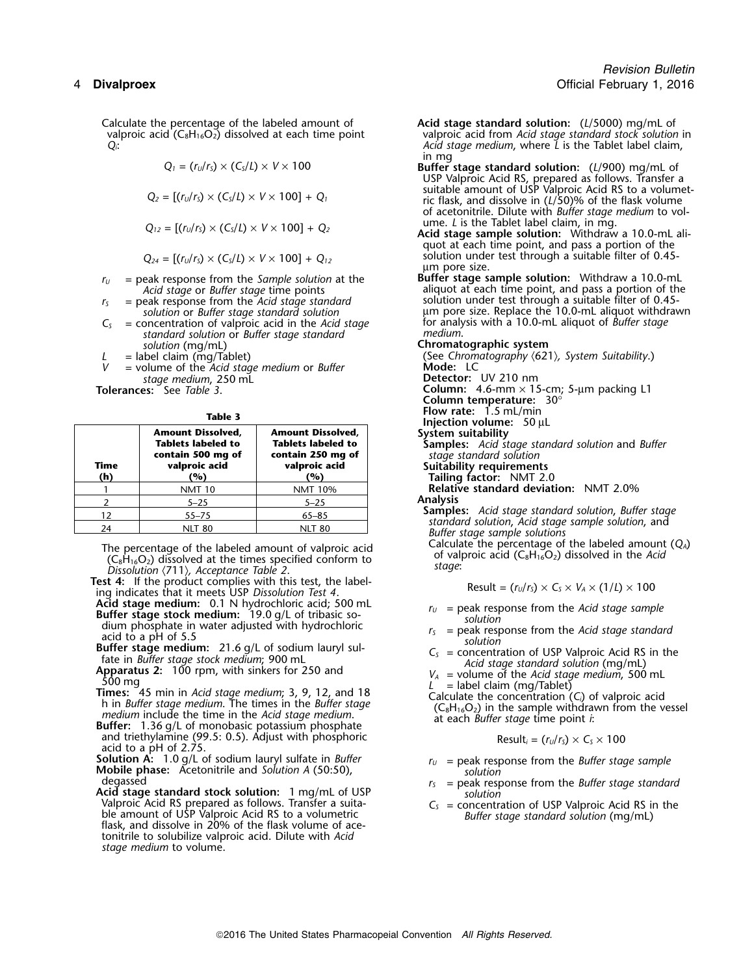valproic acid (C<sub>8</sub>H<sub>16</sub>O<sub>2</sub>) dissolved at each time point  $Q_i$ :

$$
Q_1 = (r_U/r_S) \times (C_S/L) \times V \times 100
$$

$$
Q_2 = [(r_U/r_S) \times (C_S/L) \times V \times 100] + Q_1
$$

$$
Q_{12} = [(r_U/r_S) \times (C_S/L) \times V \times 100] + Q_2
$$

$$
Q_{24} = [(r_{U}/r_{S}) \times (C_{S}/L) \times V \times 100] + Q_{12}
$$

- 
- 
- *C*<sub>S</sub> = concentration of valproic acid in the *Acid stage* for analy standard solution or *Buffer stage* standard medium. *standard solution* or *Buffer stage standard medium*. *solution* (mg/mL) **Chromatographic system**<br>= label claim (mg/Tablet) **Chromatography** (See Chromatography (62)
	-
- = volume of the *Acid stage medium* or *Buffer stage medium*, 250 mL *stage medium*, <sup>250</sup> mL **Detector:** UV 210 nm

| × | ۰.<br>M.<br>۰.<br>× | ۰.<br>× |
|---|---------------------|---------|
|   |                     |         |

| injectio<br>System<br>Sample<br>stage.<br>Suitabi | <b>Amount Dissolved,</b><br><b>Tablets labeled to</b><br>contain 250 mg of<br>valproic acid | <b>Amount Dissolved,</b><br><b>Tablets labeled to</b><br>contain 500 mg of<br>valproic acid | Time |
|---------------------------------------------------|---------------------------------------------------------------------------------------------|---------------------------------------------------------------------------------------------|------|
| <b>Tailine</b><br>Relati                          | (%)<br><b>NMT 10%</b>                                                                       | (%)<br><b>NMT 10</b>                                                                        | (h)  |
| Analysis                                          | $5 - 25$                                                                                    | $5 - 25$                                                                                    |      |
| <b>Sample</b>                                     | $65 - 85$                                                                                   | $55 - 75$                                                                                   | 12   |
| stando<br>Dff                                     | <b>NLT 80</b>                                                                               | <b>NLT 80</b>                                                                               | 24   |

- The percentage of the labeled amount of valproic acid<br>  $(C_8H_{16}O_2)$  dissolved at the times specified conform to<br>
Dissolution (711), Acceptance Table 2.<br>
Dissolution (711), Acceptance Table 2.
- Test 4: If the product complies with this test, the label-<br>ing indicates that it meets USP *Dissolution Test 4*.<br>Acid stage medium: 0.1 N hydrochloric acid; 500 mL<br>Buffer stage stock medium: 19.0 g/L of tribasic so-
- Acid stage medium: 0.1 N hydrochloric acid; 500 mL<br>
Buffer stage stock medium: 19.0 g/L of tribasic so-<br>
dium phosphate in water adjusted with hydrochloric<br>
dium phosphate in water adjusted with hydrochloric<br>
acid to a pH
- 
- 
- 
- and triethylamine (99.5: 0.5). Adjust with phosphoric for a second triethylamine (*r<sub>u</sub>/r<sub>s</sub>*) × C<sub>s</sub> × 100 and to a pH of 2.75.
- **Solution A:** 1.0 g/L of sodium lauryl sulfate in *Buffer <sup>r</sup><sup>U</sup>* = peak response from the *Buffer stage sample* **Mobile phase:** Acetonitrile and *Solution A* (50:50), *solution*
- degassed *r<sub>s</sub>* = peak response from the *Buffer stage standard*<br>**Acid stage standard stock solution:** 1 mg/mL of USP *solution*<br>Valproic Acid RS prepared as follows. Transfer a suita- *C<sub>S</sub>* = concentration of USP Valproi Valproic Acid RS prepared as follows. Transfer a suita-<br>ble amount of USP Valproic Acid RS to a volumetric<br>flask, and dissolve in 20% of the flask volume of ace-<br>flask, and dissolve in 20% of the flask volume of acetonitrile to solubilize valproic acid. Dilute with *Acid stage medium* to volume.
- Calculate the percentage of the labeled amount of **Acid stage standard solution:** (*L*/5000) mg/mL of valproic acid (C<sub>8</sub>H<sub>16</sub>O<sub>2</sub>) dissolved at each time point valproic acid from *Acid stage standard stock solution* in *Qi*: *Acid stage medium*, where *L* is the Tablet label claim,
	- in mg<br>*Buffer stage standard solution:* **(***L***/900) mg/mL of** USP Valproic Acid RS, prepared as follows. Transfer a  $Q_2 = [(r_U/r_S) \times (C_S/L) \times V \times 100] + Q_1$  suitable amount of USP Valproic Acid RS to a volumet-<br>ric flask, and dissolve in (L/50)% of the flask volume of acetonitrile. Dilute with *Buffer stage medium* to vol-
		- Acid stage sample solution: Withdraw a 10.0-mL aliquot at each time point, and pass a portion of the  $Z$  solution under test through a suitable filter of 0.45µm pore size.
- *r*<sub>*U*</sub> = peak response from the *Sample solution* at the **Buffer stage sample solution:** Withdraw a 10.0-mL aliquot at each time point, and pass a portion of the **Acid stage or Buffer stage time points** *Acid stage* or *Buffer stage* time points aliquot at each time point, and pass a portion of the <br>peak response from the *Acid stage standard* solution under test through a suitable filter of 0.45*r*<sub>S</sub> = peak response from the *Acid stage standard* solution under test through a suitable filter of 0.45*solution* or *Buffer stage standard solution*  $\mu$ m pore size. Replace the 10.0-mL aliquot withdrawn oncentration of valproic acid in the *Acid stage* for analysis with a 10.0-mL aliquot of *Buffer stage*

*<sup>L</sup>* = label claim (mg/Tablet) (See *Chromatography* 〈621〉*, System Suitability*.) **Tolerances:** See *Table 3*. **Column:** 4.6-mm × 15-cm; 5-µm packing L1 **Column temperature: 30<sup>°</sup><br>Flow rate: 1.5 mL/min Injection volume:** 50 µL **System suitability Tablets labeled to Tablets labeled to Samples:** *Acid stage standard solution* and *Buffer* **contain 500 mg of contain 250 mg of** *stage standard solution* **Suitability requirements (h) (%) (%) Tailing factor:** NMT 2.0 Relative standard deviation: NMT 2.0% **Samples:** *Acid stage standard solution, Buffer stage*<br> *Standard solution, Acid stage sample solution, and<br>
<i>Buffer stage sample solutions*<br>
Calculate the percentage of the labeled amount (Q<sub>A</sub>)

Result = 
$$
(r_U/r_S) \times C_S \times V_A \times (1/L) \times 100
$$

- 
- 
- 
- 
- 
- 

$$
Result_i = (r_U/r_S) \times C_S \times 100
$$

- 
- 
-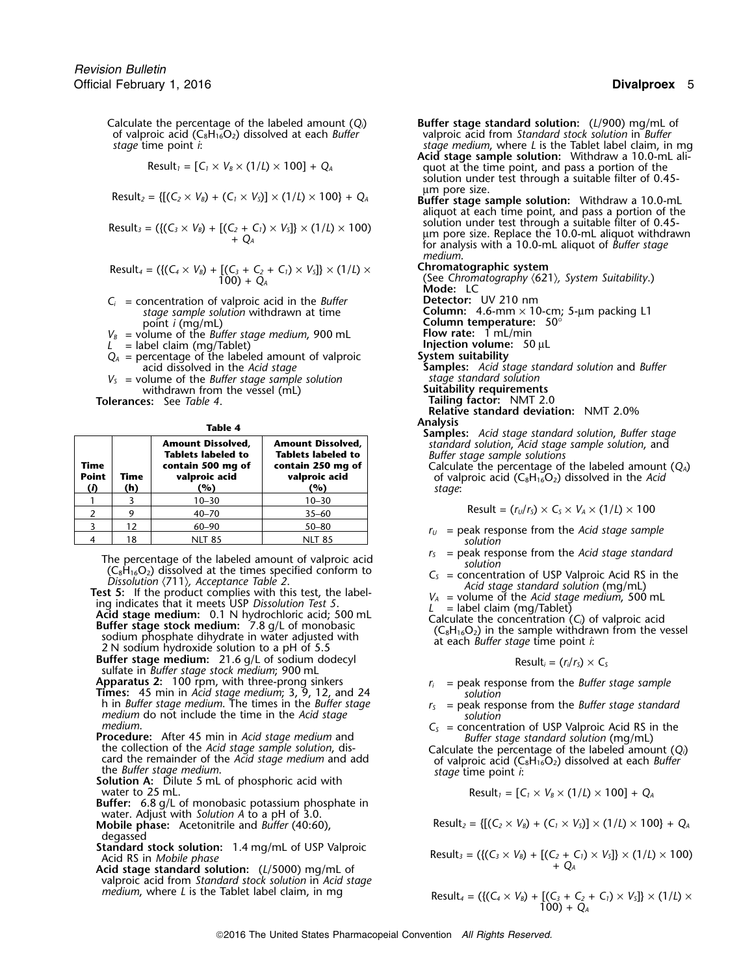Calculate the percentage of the labeled amount (*Qi*) **Buffer stage standard solution:** (*L*/900) mg/mL of of valproic acid (C8H16O2) dissolved at each *Buffer* valproic acid from *Standard stock solution* in *Buffer stage* time point *i*: *stage medium*, where *L* is the Tablet label claim, in mg

$$
Result_1 = [C_1 \times V_B \times (1/L) \times 100] + Q_A
$$

 $\text{Result}_2 = \{[(C_2 \times V_B) + (C_1 \times V_S)] \times (1/L) \times 100\} + Q_A$  Buffer stage sample solution: Withdraw a 10.0-mL

Result<sub>3</sub> = (
$$
\{(C_3 \times V_B) + [(C_2 + C_1) \times V_5]\} \times (1/L) \times 100
$$
)  
+ Q<sub>4</sub>

Result<sub>4</sub> = (
$$
\{(C_4 \times V_B) + [(C_3 + C_2 + C_1) \times V_5]\} \times (1/L) \times
$$
  
100) + Q<sub>A</sub>

 $C_i$  = concentration of valproic acid in the *Buffer Detectors stage sample solution* withdrawn at time

 $V_B$  = volume of the *Buffer stage medium*, 900 mL **Flow rate:** 1 mL/min <br>  $L =$  label claim (mg/Tablet) **Flow rate:** 50 uL *L* = label claim (mg/Tablet)<br> $Q_A$  = percentage of the labeled amount of valproic **System suitability** 

- $Q_A$  = percentage of the labeled amount of valproic acid dissolved in the *Acid stage*
- *<sup>V</sup><sup>S</sup>* = volume of the *Buffer stage sample solution stage standard solution* withdrawn from the vessel (mL) **Suitability requirements**<br> **es:** See Table 4. **Suitability requirements**

**Tolerances:** See *Table 4*.

| $\sim$<br>$\sim$ |  |
|------------------|--|
|------------------|--|

| Time<br><b>Point</b><br>(i) | Time<br>(h) | <b>Amount Dissolved,</b><br><b>Tablets labeled to</b><br>contain 500 mg of<br>valproic acid<br>(%) | <b>Amount Dissolved,</b><br><b>Tablets labeled to</b><br>contain 250 mg of<br>valproic acid<br>(%) | <b>Samples:</b> Acia stage standard solution, Buller s<br>standard solution, Acid stage sample solution, a<br>Buffer stage sample solutions<br>Calculate the percentage of the labeled amou<br>of valproic acid ( $C_8H_{16}O_2$ ) dissolved in the A<br>stage: |
|-----------------------------|-------------|----------------------------------------------------------------------------------------------------|----------------------------------------------------------------------------------------------------|-----------------------------------------------------------------------------------------------------------------------------------------------------------------------------------------------------------------------------------------------------------------|
|                             |             | $10 - 30$                                                                                          | $10 - 30$                                                                                          |                                                                                                                                                                                                                                                                 |
|                             |             | $40 - 70$                                                                                          | $35 - 60$                                                                                          | Result = $(r_U/r_S) \times C_S \times V_A \times (1/L) \times 100$                                                                                                                                                                                              |
|                             | 12          | $60 - 90$                                                                                          | $50 - 80$                                                                                          | $=$ peak response from the Acid stage samp<br>$r_{II}$                                                                                                                                                                                                          |
|                             | 18          | <b>NLT 85</b>                                                                                      | <b>NLT 85</b>                                                                                      | solution                                                                                                                                                                                                                                                        |

The percentage of the labeled amount of valproic acid<br>  $(C_8H_{16}O_2)$  dissolved at the times specified conform to<br>
Dissolution  $\langle 711 \rangle$ , Acceptance Table 2.<br> **Test 5:** If the product complies with this test, the label-<br>

Buffer stage medium: 21.6 g/L of sodium dodecyl

sulfate in *Buffer stage stock medium*; 900 mL **Apparatus 2:** 100 rpm, with three-prong sinkers *r<sub>i</sub>* = peak response from the *Buffer stage sample*<br>**Times:** 45 min in *Acid stage medium*; 3, 9, 12, and 24 *solution*<br>h in *Buffer stage medium*. The times in the *Buffe* 

- 
- medium.<br> **Procedure:** After 45 min in Acid stage medium and<br>
the collection of the Acid stage sample solution, dis-<br>
card the remainder of the Acid stage medium and add<br>
the Buffer stage medium.<br>
the Buffer stage medium.<br> the *Buffer stage medium*. *stage* time point *i*: **Solution A:** Dilute 5 mL of phosphoric acid with
- water to 25 mL.
- **Buffer:** 6.8 g/L of monobasic potassium phosphate in water. Adjust with *Solution A* to a pH of 3.0.
- **Mobile phase:** Acetonitrile and *Buffer* (40:60), Resulting the substitution of *R* degassed
- **Standard stock solution:** 1.4 mg/mL of USP Valproic<br>Acid RS in *Mobile phase*
- **Acid stage standard solution:** ( $L/5000$ ) mg/mL of valproic acid from *Standard stock solution* in *Acid stage medium*, where *L* is the Tablet label claim, in mg

- **Acid stage sample solution:** Withdraw a 10.0-mL ali-Result<sub>*1*</sub> =  $[C_1 \times V_B \times (1/L) \times 100] + Q_A$  quot at the time point, and pass a portion of the solution under test through a suitable filter of 0.45-<br>µm pore size.
	- aliquot at each time point, and pass a portion of the solution under test through a suitable filter of 0.45um pore size. Replace the 10.0-mL aliquot withdrawn<br>for analysis with a 10.0-mL aliquot of *Buffer stage medium*.

Result*<sup>4</sup>* = ({(*C<sup>4</sup>* <sup>×</sup> *<sup>V</sup>B*) + [(*C3*<sup>+</sup>*C2*<sup>+</sup>*C1*) <sup>×</sup> *<sup>V</sup>S*]} × (1/*L*) <sup>×</sup> **Chromatographic system**

100) + *Q* (See *Chromatography* 〈621〉*, System Suitability*.) *<sup>A</sup>* **Mode:** LC oncentration of valproic acid in the *Buffer* **Column:** Detector: UV 210 nm<br> *stage sample solution* withdrawn at time **Column:** 4.6-mm × 10-cm; 5-µm packing L1<br>
point *i* (mg/mL) **Column temperature:** 50° **Column temperature:** 50°<br>**Flow rate:** 1 mL/min

acid dissolved in the *Acid stage* **Samples:** *Acid stage standard solution* and *Buffer*

- 
- 

**Relative standard deviation:** NMT 2.0%

**Analysis Table 4 Samples:** *Acid stage standard solution*, *Buffer stage* **Amount Dissolved, Amount Dissolved,** *standard solution*, *Acid stage sample solution*, and **Tablets labeled to Tablets labeled to** *Buffer stage sample solutions*

**Time contain 500 mg of contain 250 mg of** Calculate the percentage of the labeled amount (*QA*) **p** of valproic acid (C<sub>8</sub>H<sub>16</sub>O<sub>2</sub>) dissolved in the *Acid* stage:

Result = 
$$
(r_U/r_S) \times C_S \times V_A \times (1/L) \times 100
$$

- $r_U$  = peak response from the *Acid stage sample* solution
- 
- 

Result<sub>i</sub> = 
$$
(r_i/r_s) \times C_s
$$

- 
- h in *Buffer stage medium*. The times in the *Buffer stage <sup>r</sup><sup>S</sup>* = peak response from the *Buffer stage standard medium* do not include the time in the *Acid stage solution*
	-

$$
Result_1 = [C_1 \times V_B \times (1/L) \times 100] + Q_A
$$

$$
Result_2 = \{ [(C_2 \times V_B) + (C_1 \times V_S)] \times (1/L) \times 100 \} + Q_A
$$

Result<sub>3</sub> = (
$$
\{(C_3 \times V_B) + [(C_2 + C_1) \times V_5]\} \times (1/L) \times 100
$$
)  
+  $Q_A$ 

Result<sub>4</sub> = (
$$
\{(C_4 \times V_B) + [(C_3 + C_2 + C_1) \times V_5]\} \times (1/L) \times
$$
  
100) + Q<sub>A</sub>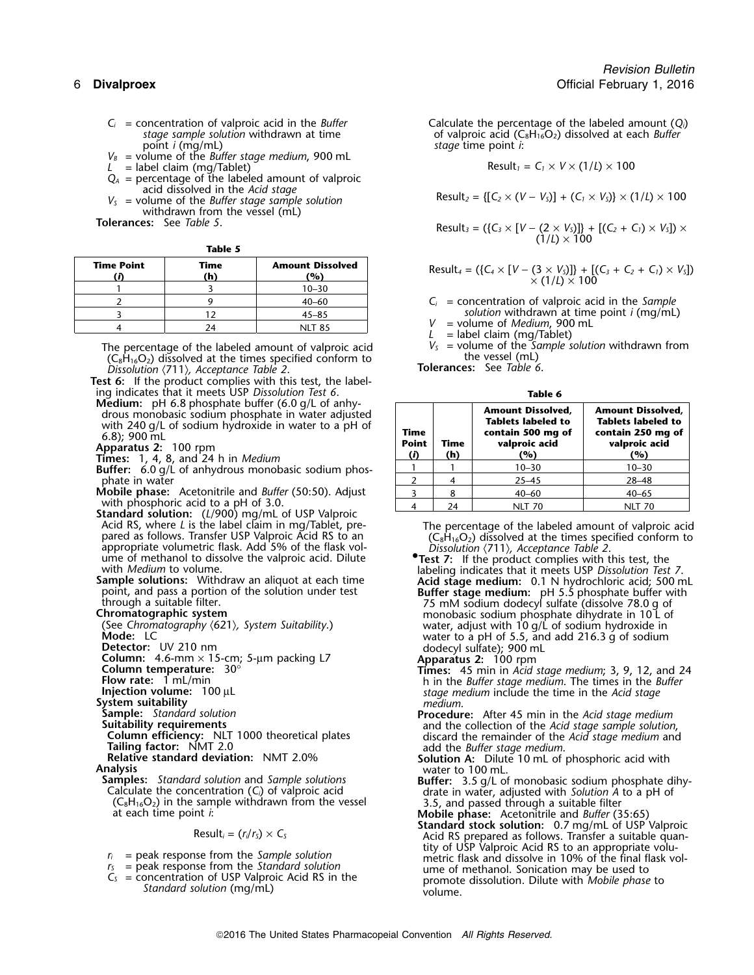- 
- *V<sup>B</sup>* = volume of the *Buffer stage medium*, 900 mL  $L =$  label claim (mg/Tablet)
- 
- $Q_A$  = percentage of the labeled amount of valproic acid dissolved in the *Acid stage*
- $V_s$  = volume of the Buffer stage sample solution withdrawn from the vessel (mL)

**Tolerances:** See *Table 5*.

| × | ۰.<br>M.<br>٠ | v<br>v. |
|---|---------------|---------|

| <b>Time Point</b> | Time<br>(h) | <b>Amount Dissolved</b><br>(%) |
|-------------------|-------------|--------------------------------|
|                   |             | $10 - 30$                      |
|                   |             | 40–60                          |
|                   |             | $45 - 85$                      |
|                   | 24          | <b>NLT 85</b>                  |

The percentage of the labeled amount of valproic acid  $V_s$  = volume of the *Sc*<br>(C<sub>8</sub>H<sub>16</sub>O<sub>2</sub>) dissolved at the times specified conform to the vessel (mL)  $(\mathsf{C}_8\mathsf{H}_{16}\mathsf{O}_2)$  dissolved at the times specified conform to the vessel (mL)<br>Dissolution (711), Acceptance Table 2. *Dissolution* **Tolerances:** See *Table 6*. 〈711〉*, Acceptance Table 2*.

**Test 6:** If the product complies with this test, the labeling indicates that it meets USP *Dissolution Test 6*. **Medium:** pH 6.8 phosphate buffer (6.0 g/L of anhy-

drous monobasic sodium phosphate in water adjusted<br>with 240 g/L of sodium hydroxide in water to a pH of 6.8); 900 mL<br>Apparatus 2: 100 rpm<br>Times: 1, 4, 8, and 24 h in Medium

- **Buffer:** 6.0 g/L of anhydrous monobasic sodium phosphate in water
- **Mobile phase:** Acetonitrile and *Buffer* (50:50). Adjust

with phosphoric acid to a pH of 3.0.<br>**Standard solution:** (*L*/900) mg/mL of USP Valproic<br>Acid RS, where *L* is the label claim in mg/Tablet, pre-

**Analysis** water to 100 mL.<br>**Samples:** Standard solution and Sample solutions **buffer:** 3.5 a/L of

**Examples:** Standard solution and Sample solutions<br>
Calculate the concentration (C<sub>i</sub>) of valproic acid<br>
(C<sub>s</sub>H<sub>16</sub>O<sub>2</sub>) in the sample withdrawn from the vessel<br>
at each time point *i*:<br>
at each time point *i*:<br>
Mobile ph

$$
Result_i = (r_i/r_s) \times C_s
$$

- 
- 
- 

 $C_i$  = concentration of valproic acid in the *Buffer* Calculate the percentage of the labeled amount (*Q*<sub>*i*</sub>) stage sample solution withdrawn at time of valproic acid ( $C_sH_1_6O_2$ ) dissolved at each *Buffer stage sample solution* withdrawn at time of valproic acid (C<sub>8</sub>H<sub>16</sub>O<sub>2</sub>) dissolved at each *Buffer*<br>point *i* (mg/mL) point *i*. stage time point *i*:

$$
Result_2 = \{ [C_2 \times (V - V_5)] + (C_1 \times V_5) \} \times (1/L) \times 100
$$

Result<sub>3</sub> = (
$$
{C_3 \times [V - (2 \times V_5)]}
$$
 +  $[(C_2 + C_1) \times V_5]) \times (1/L) \times 100$ 

$$
Result_4 = (\{C_4 \times [V - (3 \times V_5)]\} + [(C_3 + C_2 + C_1) \times V_5])
$$
  
 
$$
\times (1/L) \times 100
$$

*V* = volume of *Medium*, 900 mL<br>*L* = label claim (mg/Tablet)<br>*V<sub>s</sub>* = volume of the *Sample solution* withdrawn from

|                             | таше о      |                                                                                                    |                                                                                                    |  |  |
|-----------------------------|-------------|----------------------------------------------------------------------------------------------------|----------------------------------------------------------------------------------------------------|--|--|
| Time<br><b>Point</b><br>(i) | Time<br>(h) | <b>Amount Dissolved,</b><br><b>Tablets labeled to</b><br>contain 500 mg of<br>valproic acid<br>(%) | <b>Amount Dissolved,</b><br><b>Tablets labeled to</b><br>contain 250 mg of<br>valproic acid<br>(%) |  |  |
|                             |             | $10 - 30$                                                                                          | $10 - 30$                                                                                          |  |  |
|                             |             | $25 - 45$                                                                                          | $28 - 48$                                                                                          |  |  |
|                             |             | $40 - 60$                                                                                          | $40 - 65$                                                                                          |  |  |
|                             |             |                                                                                                    |                                                                                                    |  |  |

Acid RS, where *L* is the label claim in mg/Tablet, pre-<br>
pared as follows. Transfer USP Valproic Acid RS to an (C<sub>8</sub>H<sub>16</sub>O<sub>2</sub>) dissolved at the times specified conform to pared as follows. Transfer USP Valproic Acid RS to an  $(C_8H_{16}O_2)$  dissolved at the times specified conform to appropriate volumetric flask. Add 5% of the flask vol-<br>
Dissolution (711), Acceptance Table 2.

ume of methanol to dissolve the valproic acid. Dilute<br>with *Medium* to volume.<br>**Sample solutions:** Withdraw an aliquot at each time<br>point, and pass a portion of the solution under test<br>**Buffer stage medium:** 0.1 N hydrochl point, and pass a portion of the solution under test<br>through a suitable filter.<br>through a suitable filter.<br> $\frac{Buffer stage medium: pH 5.5 phosphate buffer with 75 mM sodium dodecyl sulfate (dissolve 78.0 g of 75.0 m/sodium dodecyl surface) and 75.0 m/sodium dodecyl surface.$ **Chromatographic system**<br>(See Chromatography (621), System Suitability.) **Chromatography (621)**, System Suitability.) **Chromatography** water, adjust with 10 q/L of sodium hydroxide in (See *Chromatography* 〈621〉*, System Suitability*.) water, adjust with 10 g/L of sodium hydroxide in Mode: LC water to a pH of 5.5, and add 216.3 g of sodium<br>Detector: UV 210 nm dodecyl sulfate); 900 mL<br>**Column:** 4.6-mm × 15-cm; 5-µm packing L7 **Apparatus 2:** 100 rpm

- **Column temperature:**  $30^{\circ}$  **Times:**  $45$  min in Acid stage medium; 3, 9, 12, and 24<br> **Flow rate:** 1 mL/min **the stage medium.** The times in the *Buffer*<br> **Injection volume:** 100 µL stage medium include the time in the **Injection volume:**<sup>100</sup> <sup>µ</sup><sup>L</sup> *stage medium* include the time in the *Acid stage* **System suitability** *medium*.
- **Sample:** Standard solution<br> **Suitability requirements**<br> **Column efficiency:** NLT 1000 theoretical plates<br> **Column efficiency:** NLT 1000 theoretical plates<br> **Column efficiency:** NLT 1000 theoretical plates<br> **Column efficie**

**The** *Buffer standard deviation:* NMT 2.0% **Solution A:** Dilute 10 mL of phosphoric acid with **Analysis** water to 100 mL.

**Standard stock solution:** 0.7 mg/mL of USP Valproic Acid RS prepared as follows. Transfer a suitable quantity of USP Valproic Acid RS to an appropriate volu $t_i$  = peak response from the *Sample solution* and  $t_i$  and  $t_i$  and dissolve in 10% of the final flask volu-<br> $t_s$  = peak response from the *Standard solution* metric flask and dissolve in 10% of the final flask vol- $C_S$  = peak response from the *standard* solution<br> $C_S$  = concentration of USP Valproic Acid RS in the standard solution (mg/mL) and a standard solution (mg/mL) concentration of the standard solution (mg/mL)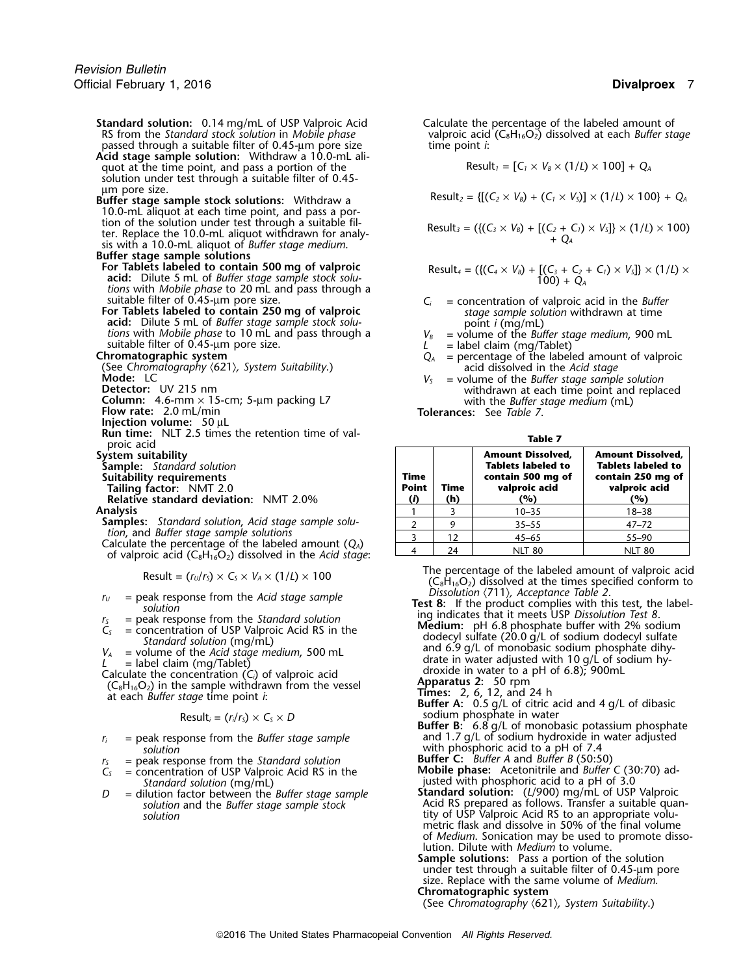**Standard solution:** 0.14 mg/mL of USP Valproic Acid Calculate the percentage of the labeled amount of RS from the Standard stock solution in Mobile phase valproic acid (C<sub>8</sub>H<sub>16</sub>O<sub>2</sub>) dissolved at each *Buffer sto* passed through a suitable filter of 0.45-um pore size **Acid stage sample solution:** Withdraw a 10.0-mL ali-

quot at the time point, and pass a portion of the  $\qquad \qquad$  Result<sub>*1*</sub> = [*C<sub>1</sub>* × *V<sub>B</sub>* × (1/*L*) × 100] + *Q*<sub>*A*</sub> solution under test through a suitable filter of 0.45 µm pore size.

10.0-mL aliquot at each time point, and pass a portion of the solution under test through a suitable filter. Replace the 10.0-mL aliquot withdrawn for analy-<br>sis with a 10.0-mL aliquot of *Buffer stage medium*.

**Buffer stage sample solutions acid:** Dilute 5 mL of *Buffer stage sample stock solutions* with *Mobile phase* to 20 mL and pass through a

**For Tablets labeled to contain 250 mg of valproic** *stage sample solu stage sample solu* **acid:** Dilute 5 mL of *Buffer stage sample stock solu maginal point i* (mg/mL) tions with *Mobile phase* to 10 mL and pass through a *V<sub>B</sub>* = volume of the *Buffer stage medium*, 900 mL suitable filter of 0.45-µm pore size. <br> *L* = label claim (mg/Tablet)

**Injection volume:** 50 µL

**Run time:** NLT 2.5 times the retention time of val- **Table 7** proic acid

Calculate the percentage of the labeled amount ( $Q_A$ ) of valproic acid ( $C_8H_{16}O_2$ ) dissolved in the *Acid stage*:

- 
- 
- 

Calculate the concentration (C<sub>i</sub>) of valproic acid<br>  $(C_8H_{16}O_2)$  in the sample withdrawn from the vessel<br>
at each *Buffer stage* time point *i*: **Buffer A:** 0.5 g/L of citric acid and 4 g/L of dibasic<br>
Buffer A: 0.5 g/

$$
Result_i = (r_i/r_s) \times C_s \times D
$$

- *solution* with phosphoric acid to a pH of 7.4
- *<sup>r</sup>* **Buffer C:** *Buffer A* and *Buffer B* (50:50) *<sup>S</sup>* = peak response from the *Standard solution*
- 
- *D* = dilution factor between the *Buffer stage sample*<br>solution and the *Buffer stage sample stock*

valproic acid (C<sub>8</sub>H<sub>16</sub>O<sub>2</sub>) dissolved at each *Buffer stage* time point *i*:

**Buffer stage sample stock solutions:** Withdraw a Result<sub>2</sub> = { $[(C_2 \times V_8) + (C_1 \times V_5)] \times (1/L) \times 100$  +  $Q_A$ 

Result<sub>3</sub> = (
$$
\{(C_3 \times V_8) + [(C_2 + C_1) \times V_5]\} \times (1/L) \times 100
$$
)  
+  $Q_A$ 

**For**  $\text{Result}_4 = (\{ (C_4 \times V_B) + [ (C_3 + C_2 + C_1) \times V_3] \} \times (1/L) \times 100) + Q_4$ 

 $S_i$  = concentration of valproic acid in the *Buffer*<br>*stage sample solution* withdrawn at time

suitable filter of 0.45-µm pore size.<br>
Chromatographic system<br>
Chromatography (621), System Suitability.)<br>
Mode: LC<br>
Mode: LC<br>
Mode: LC<br>
Mode: LC<br>
Mode: LC<br>
Mode: LC<br>
Mode: LC<br>
Mode: LC<br>
Mode: LC<br>
Mode: LC<br>
Mode: LC<br>
Mode

| projc acid                                                                                                                                                           |  | нимс 7      |                                                                                                    |                                                                                                    |  |
|----------------------------------------------------------------------------------------------------------------------------------------------------------------------|--|-------------|----------------------------------------------------------------------------------------------------|----------------------------------------------------------------------------------------------------|--|
| System suitability<br><b>Sample:</b> Standard solution<br>Suitability requirements<br><b>Tailing factor: NMT 2.0</b><br><b>Relative standard deviation: NMT 2.0%</b> |  | Time<br>(h) | <b>Amount Dissolved,</b><br><b>Tablets labeled to</b><br>contain 500 mg of<br>valproic acid<br>(%) | <b>Amount Dissolved,</b><br><b>Tablets labeled to</b><br>contain 250 mg of<br>valproic acid<br>(%) |  |
| Analvsis                                                                                                                                                             |  |             | $10 - 35$                                                                                          | $18 - 38$                                                                                          |  |
| <b>Samples:</b> Standard solution, Acid stage sample solu-                                                                                                           |  |             | $35 - 55$                                                                                          | $47 - 72$                                                                                          |  |
| tion, and Buffer stage sample solutions                                                                                                                              |  | 12          | $45 - 65$                                                                                          | $55 - 90$                                                                                          |  |
| Calculate the percentage of the labeled amount $(Q_A)$                                                                                                               |  | 24          | <b>NIT 80</b>                                                                                      | NIT 80                                                                                             |  |

Result =  $(r_U/r_S) \times C_S \times V_A \times (1/L) \times 100$ <br>Result =  $(r_U/r_S) \times C_S \times V_A \times (1/L) \times 100$  (C<sub>8</sub>H<sub>16</sub>O<sub>2</sub>) dissolved at the times specified conform to<br>Dissolution  $\langle 711 \rangle$ , Acceptance Table 2.

 $r_U$  = peak response from the Acid stage sample<br>
solution<br>  $r_S$  = peak response from the Standard solution<br>  $r_S$  = concentration of USP Valproic Acid RS in the<br>  $r_S$  = concentration of USP Valproic Acid RS in the<br>  $r_S$  =  $V_A$  = concentration of USP Valproic Acid RS in the<br>
Standard solution (mg/mL)<br>  $V_A$  = volume of the Acid stage medium, 500 mL<br>
and 6.9 g/L of monobasic sodium phosphate dihy-<br>
and 6.9 g/L of monobasic sodium phosphate di

- 
- Buffer B: 6.8 g/L of monobasic potassium phosphate *r<sub>i</sub>* = peak response from the *Buffer stage sample* and 1.7 g/L of sodium hydroxide in water adjusted solution

 $C_s$  = concentration of USP Valproic Acid RS in the **Mobile phase:** Acetonitrile and *Buffer C* (30:70) ad-<br>*Standard solution* (mg/mL) standard solution (mg/mL) standard solution (mg/mL) justed with phosphoric acid to a pH of 3.0<br>**Standard solution:** (L/900) mg/mL of USP Valproic

*solution* and the *Buffer stage sample* stock the action of Acid RS prepared as follows. Transfer a suitable quan-<br>- tity of USP Valproic Acid RS to an appropriate volumetric flask and dissolve in 50% of the final volume of *Medium*. Sonication may be used to promote dissolution. Dilute with *Medium* to volume.

**Sample solutions:** Pass a portion of the solution under test through a suitable filter of 0.45-µm pore size. Replace with the same volume of *Medium.* **Chromatographic system**

(See *Chromatography* 〈621〉*, System Suitability*.)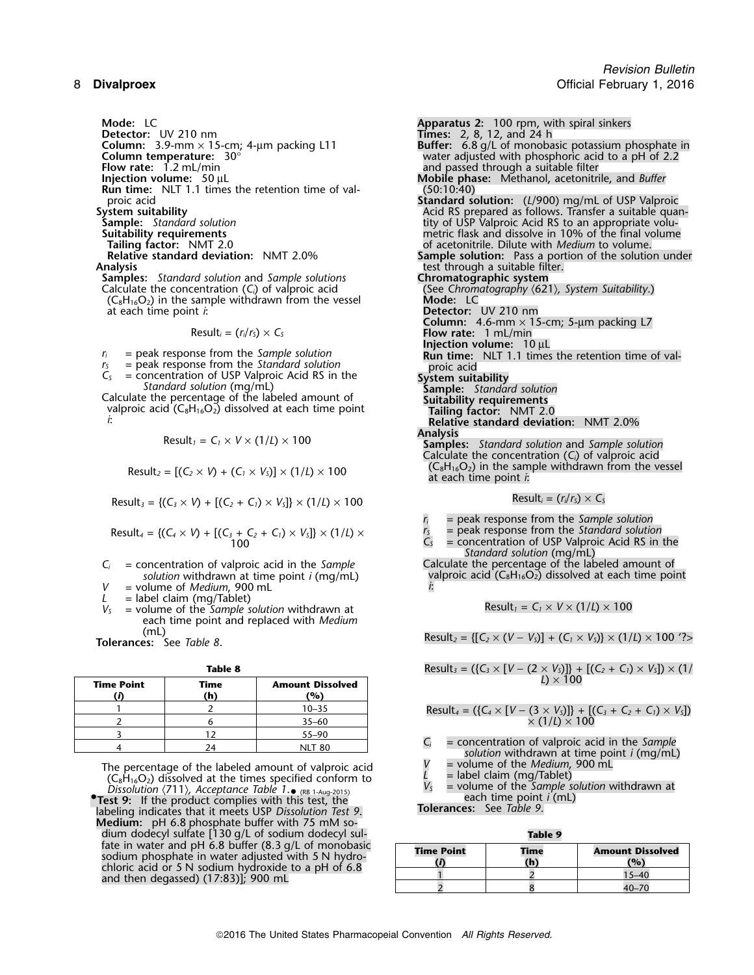**Samples:** *Standard solution* and *Sample solutions* **Chromatographic system**<br>Calculate the concentration (C<sub>i</sub>) of valproic acid **Chromatography (S21)**, System *Suitability*.) Calculate the concentration (*C*<sub>*i*</sub>) of valproic acid (See *Chromatography C<sub>8</sub>H<sub>16</sub>O<sub>2</sub>) in the sample withdrawn from the vessel Mode: LC*  $(C_8H_{16}O_2)$  in the sample withdrawn from the vessel at each time point *i*:

**Run time:** NLT 1.1 times the retention time of val-<br>proic acid

$$
Result_i = (r_i/r_s) \times C_s
$$

- 
- $r_5$  = peak response from the *Standard solution*<br>  $C_5$  = concentration of USP Valproic Acid RS in the<br> *Standard solution* (mg/mL)<br>
Calculate the percentage of the labeled amount of **Suitability**<br>
Calculate the percent

valproic acid (C<sub>8</sub>H<sub>16</sub>O<sub>2</sub>) dissolved at each time point **Tailing factor:** NMT 2.0<br>*i*: **Relative standard doviat** 

$$
Result_1 = C_1 \times V \times (1/L) \times 100
$$

$$
Result_2 = [(C_2 \times V) + (C_1 \times V_5)] \times (1/L) \times 100
$$

 $Result_3 = \{ (C_3 \times V) + [(C_2 + C_1) \times V_5] \} \times (1/L) \times 100$ 

Result<sub>4</sub> = {
$$
(C_4 \times V)
$$
 +  $[(C_3 + C_2 + C_1) \times V_5]$ } ×  $(1/L) \times$   
\n100\n
$$
r_S = peak response from the Standard solution\n
$$
C_S = peak response from the Standard solution\n
$$
C_S = peak response from the Standard solution\n
$$
C_S = peak response from the Standard solution
$$
$$
$$
$$

- *C<sub>i</sub>* = concentration of valproic acid in the *Sample* Calculate the percentage of the labeled amount of *solution* withdrawn at time point *i* (mg/mL) valproic acid (C<sub>8</sub>H<sub>16</sub>O<sub>2</sub>) dissolved at each time poi
- *V* = volume of *Medium*, 900 mL *i*:
- $L =$  label claim (mg/Tablet)
- $V_5$  = volume of the *Sample solution* withdrawn at each time point and replaced with *Medium*<br> **Tolerances:** See *Table 8*.

|                                                                                             | <b>Amount Dissolved</b><br>'%) | Time | <b>Time Point</b> |  |
|---------------------------------------------------------------------------------------------|--------------------------------|------|-------------------|--|
|                                                                                             | $10 - 35$                      |      |                   |  |
| Result <sub>4</sub> = $({C_4} \times [V - (3 \times V_5)]) + [0 \times (1/L) \times (100))$ | $35 - 60$                      |      |                   |  |
|                                                                                             | $55 - 90$                      |      |                   |  |
| = concentration of valproic ad<br>colution with drawn at time                               | NLT 80                         |      |                   |  |

The percentage of the labeled amount of valproic acid  $V =$  volume of the *Medium*, 900 mL<br>  $(C_8H_{16}O_2)$  dissolved at the times specified conform to  $L =$  label claim (mg/Tablet)<br> *V<sub>S</sub>* = volume of the *Sample solution v* 

**Test 9:** If the product complies with this test, the **The complication of the product complies with this test, the <b>Tolerances:** See *Table 9*.<br>Iabeling indicates that it meets USP *Dissolution Test 9*. **Tolerances:** See **Medium:** pH 6.8 phosphate buffer with 75 mM sodium dodecyl sulfate [130 g/L of sodium dodecyl sul- **Table 9** sodium phosphate in water adjusted with 5 N hydro-<br>chloric acid or 5 N sodium hydroxide to a pH of 6.8<br>and then degassed) (17:83)]; 900 mL

**Mode:** LC **Apparatus 2:** 100 rpm, with spiral sinkers **Detector:** UV 210 nm **Times:** 2, 8, 12, and 24 h **Column:** 3.9-mm × 15-cm; 4-µm packing L11 **Buffer:** 2, 8, 12, and 24 h<br> **Column:** 3.9-mm × 15-cm; 4-µm packing L11 **Buffer:** 6.8 g/L of monobasic potassium phosphate in<br>
Water adjusted with phosphoric acid to a pH of 2.2 **Column temperature:**  $30^{\circ}$ <br> **Column temperature:**  $30^{\circ}$ <br> **Column temperature:**  $30^{\circ}$ <br> **Column temperature:**  $30^{\circ}$ <br> **Column temperature:**  $30^{\circ}$ **Flow rate:** 1.2 mL/min and passed through a suitable filter and passed through a suitable filter and passed through a suitable filter and passed through a suitable filter and passed through a suitable filter and passed th **Indile phase:** Methanol, acetonitrile, and *Buffer* (50:10:40) proic acid **Standard solution:** (*L*/900) mg/mL of USP Valproic **System suitability** Acid RS prepared as follows. Transfer a suitable quan-**Sample:** *Standard solution* tity of USP Valproic Acid RS to an appropriate volu-**Suitability requirements**<br> **Suitability requirements**<br> **Suitability requirements**<br> **Suitability requirements**<br> **Suitability requirements**<br> **Suitability requirements**<br> **Suitability requirements**<br> **Suitability requirements Tailing factor:** NMT 2.0 **of acetonitrile. Dilute with** *Medium* **to volume.**<br>**Relative standard deviation:** NMT 2.0% **Sample solution:** Pass a portion of the solutio **Relative standard deviation:** NMT 2.0% **Sample solution:** Pass a portion of the solution under test through a suitable filter.<br>**Chromatographic system** Detector: UV 210 nm **Column:** 4.6-mm × 15-cm; 5-µm packing L7 Result*<sup>i</sup>* = (*<sup>r</sup>i*/*<sup>r</sup>S*) <sup>×</sup> *<sup>C</sup><sup>S</sup>* **Flow rate:**<sup>1</sup> mL/min **Injection volume:** 10 µL *<sup>r</sup><sup>i</sup>* = peak response from the *Sample solution* **Run time:** NLT 1.1 times the retention time of val*i*: **Relative standard deviation:** NMT 2.0% **Analysis** Result*<sup>1</sup>* <sup>=</sup>*C<sup>1</sup>* <sup>×</sup> *<sup>V</sup>* <sup>×</sup> (1/*L*) ×<sup>100</sup> **Samples:** *Standard solution* and *Sample solution* Calculate the concentration (*Ci*) of valproic acid  $\times$  (1/*L*)  $\times$  100  $(C_8H_{16}O_2)$  in the sample withdrawn from the vessel at each time point *i*:

$$
Result_i = (r_i/r_s) \times C_s
$$

*<sup>r</sup><sup>i</sup>* = peak response from the *Sample solution*

- 
- *Standard solution* (mg/mL)

valproic acid (C<sub>8</sub>H<sub>16</sub>O<sub>2</sub>) dissolved at each time point *i*:

$$
Result_1 = C_1 \times V \times (1/L) \times 100
$$

 ${\sf Result}_{2} = \{[C_{2} \times (V - V_{S})] + (C_{1} \times V_{S})\} \times (1/L) \times 100$  '?>

Table 8

\n
$$
\text{Result}_3 = (\{C_3 \times [V - (2 \times V_5)]\} + [(C_2 + C_1) \times V_5]) \times (1/\text{times}) \times (1/\text{times})
$$

<sup>1</sup> <sup>2</sup> 10–35 Result*<sup>4</sup>* = ({*C<sup>4</sup>* <sup>×</sup> [*V* <sup>−</sup> (3 <sup>×</sup> *VS*)]} + [(*C3*<sup>+</sup>*C2*<sup>+</sup>*C1*) <sup>×</sup> *VS*])

 $C_i$  = concentration of valproic acid in the *Sample solution* withdrawn at time point *i* (mg/mL)  $V$  = volume of the *Medium*, 900 mL

- 
- 
- *Dissolution* (711), *Acceptance Table 1*. (RB 1-Aug-2015)<br>
 Test 9: If the product complies with this test, the each time point *i* (mL)

|  |  |  | $\mathbf{r}$ |  |  |
|--|--|--|--------------|--|--|
|--|--|--|--------------|--|--|

| <b>Time Point</b><br>'N. | Time<br>/ ト' | <b>Amount Dissolved</b><br>(°) |
|--------------------------|--------------|--------------------------------|
|                          |              |                                |
|                          |              |                                |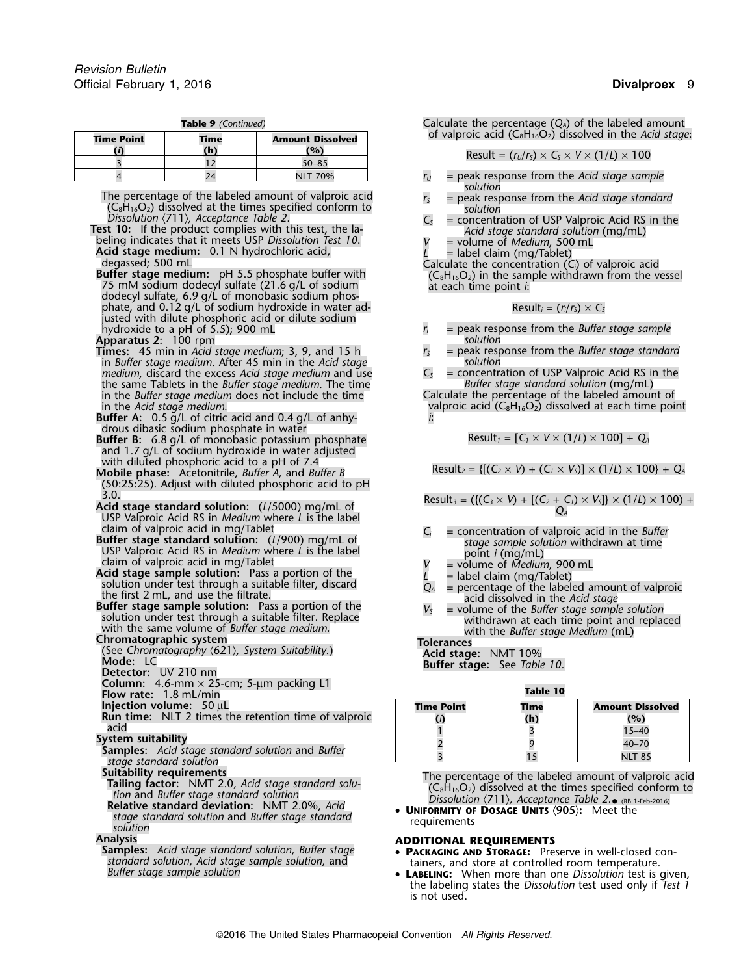|  | Table 9 (Continued) |
|--|---------------------|
|  |                     |

| of valproic acid ( $C_8H_{16}O_2$ ) dissolved in the Ad          | <b>Amount Dissolved</b> | <b>Time</b> | <b>Time Point</b> |
|------------------------------------------------------------------|-------------------------|-------------|-------------------|
| Result = $(r_U/r_S) \times C_S \times V \times (1/L) \times 100$ | (0)                     | (h)         |                   |
|                                                                  | $50 - 85$               |             |                   |
| = peak response from the Acid stage sam                          | <b>NLT 70%</b>          |             |                   |

- The percentage of the labeled amount of valproic acid  $(C_8H_{16}O_2)$  dissolved at the times specified conform to  $(C_8H_{16}O_2)$  dissolved at the times specified conform to *solution*<br>*Dissolution* (711), *Acceptance Table*
- Dissolution (11), Acceptance lable 2.<br>
Test 10: If the product complies with this test, the la-<br>
beling indicates that it meets USP Dissolution Test 10.<br>
Acid stage standard solution (mg/mL)<br>
Acid stage medium: 0.1 N hydr
- Acid stage medium: 0.1 N hydrochloric acid,<br>
degassed; 500 mL<br>
Buffer stage medium: pH 5.5 phosphate buffer with<br>
T5 mM sodium dodecyl sulfate (21.6 g/L of sodium<br>
dodecyl sulfate, 6.9 g/L of monobasic sodium phos-<br>
dodec phate, and 0.12 g/L of sodium hydroxide in water adjusted with dilute phosphoric acid or dilute sodium

- **Times:** 45 min in *Acid stage medium*; 3, 9, and 15 h *<sup>r</sup><sup>S</sup>* = peak response from the *Buffer stage standard* in *Buffer stage medium*. After 45 min in the *Acid stage solution medium,* discard the excess *Acid stage medium* and use *C<sub>S</sub>* = concentration of USP Valproic Acid RS in the the same Tablets in the *Buffer stage standard solution* (mg/mL) the same Tablets in the *Buffer stage medium*. The time *Buffer stage standard solution* (mg/mL) in the *Buffer stage medium* does not include the time in the Acid stage medium.
- **Buffer A:** 0.5 g/L of citric acid and 0.4 g/L of anhy- *i*: drous dibasic sodium phosphate in water
- Buffer B: 6.8 g/L of monobasic potassium phosphate and 1.7 g/L of sodium hydroxide in water adjusted with diluted phosphoric acid to a pH of 7.4
- (50:25:25). Adjust with diluted phosphoric acid to pH
- 3.0.<br> **Acid stage standard solution:** (L/5000) mg/mL of<br>
USP Valproic Acid RS in *Medium* where L is the label<br>
claim of valproic acid in mg/Tablet<br>
Cincondentration of valproic acid in the *Buffer*
- 
- 
- claim of valproic acid in mg/Tablet<br>
Buffer stage sample solution: (1/900) mg/mL of<br>
USP Valproic Acid RS in Medium where L is the label<br>
claim of valproic acid in mg/Tablet<br>
claim of valproic acid in mg/Tablet<br>
claim of

- 
- 
- **Column:** UV 210 nm<br> **Column:** 4.6-mm × 25-cm; 5-µm packing L1<br> **Flow rate:** 1.8 mL/min
- **Ilow rate:** 1.8 mL/min<br>**Injection volume:** 50 µL
- 
- **Run time:** NLT 2 times the retention time of valproic **(***i***) (h) (%)** acid 1 3 15–40 and 1 3 15–40 and 1 3 15–40 and 1 3 15–40 and 1 3 15–40 and 1 3 15–40 and 1  $\,$

**System suitability**<br> **Samples:** *Acid stage standard solution* and *Buffer*<br> *stage standard solution*<br> **Suitability requirements** 

- 
- 
- **Relative standard deviation:** NMT 2.0%, Acid **CONITY OF**<br>
stage standard solution and *Buffer stage standard* **contained by the requirements** *solution*

standard solution, Acid stage sample solution, and<br>Buffer stage sample solution **controlled by the stage of the set is** extreme to the **controlled** room temperature.

Calculate the percentage ( $Q_A$ ) of the labeled amount of valproic acid (C<sub>8</sub>H<sub>16</sub>O<sub>2</sub>) dissolved in the *Acid stage*:

$$
Result = (rU/rS) \times CS \times V \times (1/L) \times 100
$$

- $r_U$  = peak response from the *Acid stage sample solution*
- 
- 
- 
- 

$$
Result_i = (r_i/r_s) \times C_s
$$

- hydroxide to a pH of 5.5); 900 mL *<sup>r</sup><sup>i</sup>* = peak response from the *Buffer stage sample* **Apparatus 2:** 100 rpm<br>**Times:** 45 min in Acid stage medium; 3, 9, and 15 h solution *r<sub>s</sub>* = peak response from the Buffer stage standard
	-

valproic acid (C<sub>8</sub>H<sub>16</sub>O<sub>2</sub>) dissolved at each time point<br>*i*:

$$
Result_1 = [C_1 \times V \times (1/L) \times 100] + Q
$$

**Mobile phase:** Acetonitrile, *Buffer A*, and *Buffer B* Result<sub>2</sub> = { $[(C_2 \times V) + (C_1 \times V_5)] \times (1/l) \times 100$  + *Q<sub>A</sub>* 

- -
- 
- 
- 

| <b>Time Point</b> | Time<br>'n, | <b>Amount Dissolved</b><br>$\mathbf{O}_0$ |
|-------------------|-------------|-------------------------------------------|
|                   |             |                                           |
|                   |             | $40 - 70$                                 |
|                   |             |                                           |

**Suitability requirements**<br> **The percentage of the labeled amount of valproic acid**<br> **The percentage of the labeled amount of valproic acid**<br> **The percentage of the labeled amount of valproic acid**<br> **C**<sub>S</sub>H<sub>16</sub>O<sub>2</sub>) disso

- **Analysis ADDITIONAL REQUIREMENTS Samples:** *Acid stage standard solution*, *Buffer stage* **<sup>P</sup>ACKAGING AND STORAGE:** Preserve in well-closed con
	- the labeling states the *Dissolution* test used only if *Test 1* is not used.